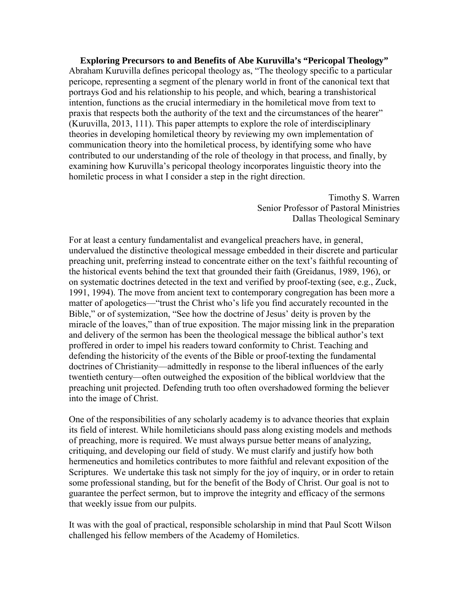**Exploring Precursors to and Benefits of Abe Kuruvilla's "Pericopal Theology"**  Abraham Kuruvilla defines pericopal theology as, "The theology specific to a particular pericope, representing a segment of the plenary world in front of the canonical text that portrays God and his relationship to his people, and which, bearing a transhistorical intention, functions as the crucial intermediary in the homiletical move from text to praxis that respects both the authority of the text and the circumstances of the hearer" (Kuruvilla, 2013, 111). This paper attempts to explore the role of interdisciplinary theories in developing homiletical theory by reviewing my own implementation of communication theory into the homiletical process, by identifying some who have contributed to our understanding of the role of theology in that process, and finally, by examining how Kuruvilla's pericopal theology incorporates linguistic theory into the homiletic process in what I consider a step in the right direction.

> Timothy S. Warren Senior Professor of Pastoral Ministries Dallas Theological Seminary

For at least a century fundamentalist and evangelical preachers have, in general, undervalued the distinctive theological message embedded in their discrete and particular preaching unit, preferring instead to concentrate either on the text's faithful recounting of the historical events behind the text that grounded their faith (Greidanus, 1989, 196), or on systematic doctrines detected in the text and verified by proof-texting (see, e.g., Zuck, 1991, 1994). The move from ancient text to contemporary congregation has been more a matter of apologetics—"trust the Christ who's life you find accurately recounted in the Bible," or of systemization, "See how the doctrine of Jesus' deity is proven by the miracle of the loaves," than of true exposition. The major missing link in the preparation and delivery of the sermon has been the theological message the biblical author's text proffered in order to impel his readers toward conformity to Christ. Teaching and defending the historicity of the events of the Bible or proof-texting the fundamental doctrines of Christianity—admittedly in response to the liberal influences of the early twentieth century—often outweighed the exposition of the biblical worldview that the preaching unit projected. Defending truth too often overshadowed forming the believer into the image of Christ.

One of the responsibilities of any scholarly academy is to advance theories that explain its field of interest. While homileticians should pass along existing models and methods of preaching, more is required. We must always pursue better means of analyzing, critiquing, and developing our field of study. We must clarify and justify how both hermeneutics and homiletics contributes to more faithful and relevant exposition of the Scriptures. We undertake this task not simply for the joy of inquiry, or in order to retain some professional standing, but for the benefit of the Body of Christ. Our goal is not to guarantee the perfect sermon, but to improve the integrity and efficacy of the sermons that weekly issue from our pulpits.

It was with the goal of practical, responsible scholarship in mind that Paul Scott Wilson challenged his fellow members of the Academy of Homiletics.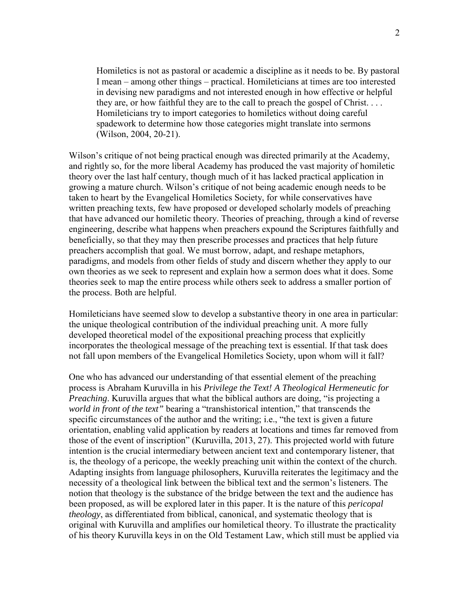Homiletics is not as pastoral or academic a discipline as it needs to be. By pastoral I mean – among other things – practical. Homileticians at times are too interested in devising new paradigms and not interested enough in how effective or helpful they are, or how faithful they are to the call to preach the gospel of Christ. . . . Homileticians try to import categories to homiletics without doing careful spadework to determine how those categories might translate into sermons (Wilson, 2004, 20-21).

Wilson's critique of not being practical enough was directed primarily at the Academy, and rightly so, for the more liberal Academy has produced the vast majority of homiletic theory over the last half century, though much of it has lacked practical application in growing a mature church. Wilson's critique of not being academic enough needs to be taken to heart by the Evangelical Homiletics Society, for while conservatives have written preaching texts, few have proposed or developed scholarly models of preaching that have advanced our homiletic theory. Theories of preaching, through a kind of reverse engineering, describe what happens when preachers expound the Scriptures faithfully and beneficially, so that they may then prescribe processes and practices that help future preachers accomplish that goal. We must borrow, adapt, and reshape metaphors, paradigms, and models from other fields of study and discern whether they apply to our own theories as we seek to represent and explain how a sermon does what it does. Some theories seek to map the entire process while others seek to address a smaller portion of the process. Both are helpful.

Homileticians have seemed slow to develop a substantive theory in one area in particular: the unique theological contribution of the individual preaching unit. A more fully developed theoretical model of the expositional preaching process that explicitly incorporates the theological message of the preaching text is essential. If that task does not fall upon members of the Evangelical Homiletics Society, upon whom will it fall?

One who has advanced our understanding of that essential element of the preaching process is Abraham Kuruvilla in his *Privilege the Text! A Theological Hermeneutic for Preaching*. Kuruvilla argues that what the biblical authors are doing, "is projecting a *world in front of the text"* bearing a "transhistorical intention," that transcends the specific circumstances of the author and the writing; i.e., "the text is given a future orientation, enabling valid application by readers at locations and times far removed from those of the event of inscription" (Kuruvilla, 2013, 27). This projected world with future intention is the crucial intermediary between ancient text and contemporary listener, that is, the theology of a pericope, the weekly preaching unit within the context of the church. Adapting insights from language philosophers, Kuruvilla reiterates the legitimacy and the necessity of a theological link between the biblical text and the sermon's listeners. The notion that theology is the substance of the bridge between the text and the audience has been proposed, as will be explored later in this paper. It is the nature of this *pericopal theology*, as differentiated from biblical, canonical, and systematic theology that is original with Kuruvilla and amplifies our homiletical theory. To illustrate the practicality of his theory Kuruvilla keys in on the Old Testament Law, which still must be applied via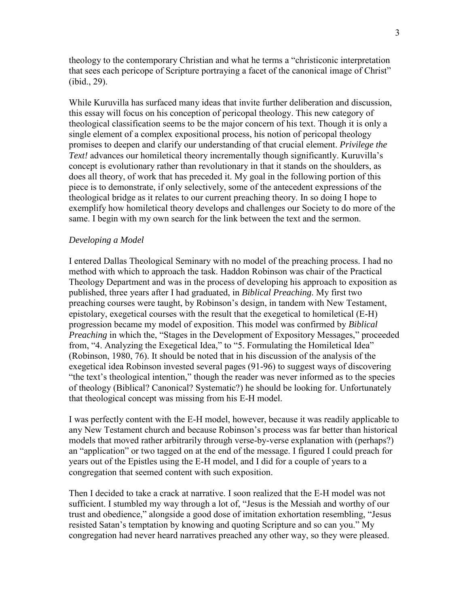theology to the contemporary Christian and what he terms a "christiconic interpretation that sees each pericope of Scripture portraying a facet of the canonical image of Christ" (ibid., 29).

While Kuruvilla has surfaced many ideas that invite further deliberation and discussion, this essay will focus on his conception of pericopal theology. This new category of theological classification seems to be the major concern of his text. Though it is only a single element of a complex expositional process, his notion of pericopal theology promises to deepen and clarify our understanding of that crucial element. *Privilege the Text!* advances our homiletical theory incrementally though significantly. Kuruvilla's concept is evolutionary rather than revolutionary in that it stands on the shoulders, as does all theory, of work that has preceded it. My goal in the following portion of this piece is to demonstrate, if only selectively, some of the antecedent expressions of the theological bridge as it relates to our current preaching theory. In so doing I hope to exemplify how homiletical theory develops and challenges our Society to do more of the same. I begin with my own search for the link between the text and the sermon.

#### *Developing a Model*

I entered Dallas Theological Seminary with no model of the preaching process. I had no method with which to approach the task. Haddon Robinson was chair of the Practical Theology Department and was in the process of developing his approach to exposition as published, three years after I had graduated, in *Biblical Preaching*. My first two preaching courses were taught, by Robinson's design, in tandem with New Testament, epistolary, exegetical courses with the result that the exegetical to homiletical (E-H) progression became my model of exposition. This model was confirmed by *Biblical Preaching* in which the, "Stages in the Development of Expository Messages," proceeded from, "4. Analyzing the Exegetical Idea," to "5. Formulating the Homiletical Idea" (Robinson, 1980, 76). It should be noted that in his discussion of the analysis of the exegetical idea Robinson invested several pages (91-96) to suggest ways of discovering "the text's theological intention," though the reader was never informed as to the species of theology (Biblical? Canonical? Systematic?) he should be looking for. Unfortunately that theological concept was missing from his E-H model.

I was perfectly content with the E-H model, however, because it was readily applicable to any New Testament church and because Robinson's process was far better than historical models that moved rather arbitrarily through verse-by-verse explanation with (perhaps?) an "application" or two tagged on at the end of the message. I figured I could preach for years out of the Epistles using the E-H model, and I did for a couple of years to a congregation that seemed content with such exposition.

Then I decided to take a crack at narrative. I soon realized that the E-H model was not sufficient. I stumbled my way through a lot of, "Jesus is the Messiah and worthy of our trust and obedience," alongside a good dose of imitation exhortation resembling, "Jesus resisted Satan's temptation by knowing and quoting Scripture and so can you." My congregation had never heard narratives preached any other way, so they were pleased.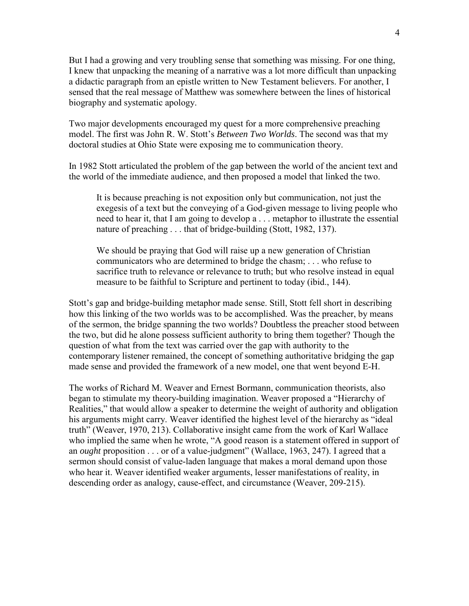But I had a growing and very troubling sense that something was missing. For one thing, I knew that unpacking the meaning of a narrative was a lot more difficult than unpacking a didactic paragraph from an epistle written to New Testament believers. For another, I sensed that the real message of Matthew was somewhere between the lines of historical biography and systematic apology.

Two major developments encouraged my quest for a more comprehensive preaching model. The first was John R. W. Stott's *Between Two Worlds*. The second was that my doctoral studies at Ohio State were exposing me to communication theory.

In 1982 Stott articulated the problem of the gap between the world of the ancient text and the world of the immediate audience, and then proposed a model that linked the two.

It is because preaching is not exposition only but communication, not just the exegesis of a text but the conveying of a God-given message to living people who need to hear it, that I am going to develop a . . . metaphor to illustrate the essential nature of preaching . . . that of bridge-building (Stott, 1982, 137).

We should be praying that God will raise up a new generation of Christian communicators who are determined to bridge the chasm; . . . who refuse to sacrifice truth to relevance or relevance to truth; but who resolve instead in equal measure to be faithful to Scripture and pertinent to today (ibid., 144).

Stott's gap and bridge-building metaphor made sense. Still, Stott fell short in describing how this linking of the two worlds was to be accomplished. Was the preacher, by means of the sermon, the bridge spanning the two worlds? Doubtless the preacher stood between the two, but did he alone possess sufficient authority to bring them together? Though the question of what from the text was carried over the gap with authority to the contemporary listener remained, the concept of something authoritative bridging the gap made sense and provided the framework of a new model, one that went beyond E-H.

The works of Richard M. Weaver and Ernest Bormann, communication theorists, also began to stimulate my theory-building imagination. Weaver proposed a "Hierarchy of Realities," that would allow a speaker to determine the weight of authority and obligation his arguments might carry. Weaver identified the highest level of the hierarchy as "ideal truth" (Weaver, 1970, 213). Collaborative insight came from the work of Karl Wallace who implied the same when he wrote, "A good reason is a statement offered in support of an *ought* proposition . . . or of a value-judgment" (Wallace, 1963, 247). I agreed that a sermon should consist of value-laden language that makes a moral demand upon those who hear it. Weaver identified weaker arguments, lesser manifestations of reality, in descending order as analogy, cause-effect, and circumstance (Weaver, 209-215).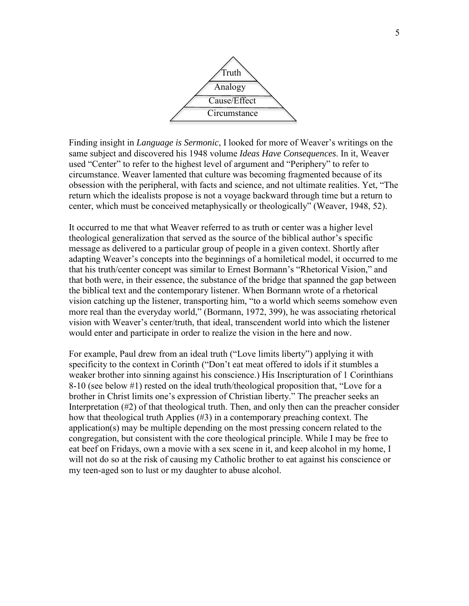

Finding insight in *Language is Sermonic*, I looked for more of Weaver's writings on the same subject and discovered his 1948 volume *Ideas Have Consequences*. In it, Weaver used "Center" to refer to the highest level of argument and "Periphery" to refer to circumstance. Weaver lamented that culture was becoming fragmented because of its obsession with the peripheral, with facts and science, and not ultimate realities. Yet, "The return which the idealists propose is not a voyage backward through time but a return to center, which must be conceived metaphysically or theologically" (Weaver, 1948, 52).

It occurred to me that what Weaver referred to as truth or center was a higher level theological generalization that served as the source of the biblical author's specific message as delivered to a particular group of people in a given context. Shortly after adapting Weaver's concepts into the beginnings of a homiletical model, it occurred to me that his truth/center concept was similar to Ernest Bormann's "Rhetorical Vision," and that both were, in their essence, the substance of the bridge that spanned the gap between the biblical text and the contemporary listener. When Bormann wrote of a rhetorical vision catching up the listener, transporting him, "to a world which seems somehow even more real than the everyday world," (Bormann, 1972, 399), he was associating rhetorical vision with Weaver's center/truth, that ideal, transcendent world into which the listener would enter and participate in order to realize the vision in the here and now.

For example, Paul drew from an ideal truth ("Love limits liberty") applying it with specificity to the context in Corinth ("Don't eat meat offered to idols if it stumbles a weaker brother into sinning against his conscience.) His Inscripturation of 1 Corinthians 8-10 (see below #1) rested on the ideal truth/theological proposition that, "Love for a brother in Christ limits one's expression of Christian liberty." The preacher seeks an Interpretation (#2) of that theological truth. Then, and only then can the preacher consider how that theological truth Applies (#3) in a contemporary preaching context. The application(s) may be multiple depending on the most pressing concern related to the congregation, but consistent with the core theological principle. While I may be free to eat beef on Fridays, own a movie with a sex scene in it, and keep alcohol in my home, I will not do so at the risk of causing my Catholic brother to eat against his conscience or my teen-aged son to lust or my daughter to abuse alcohol.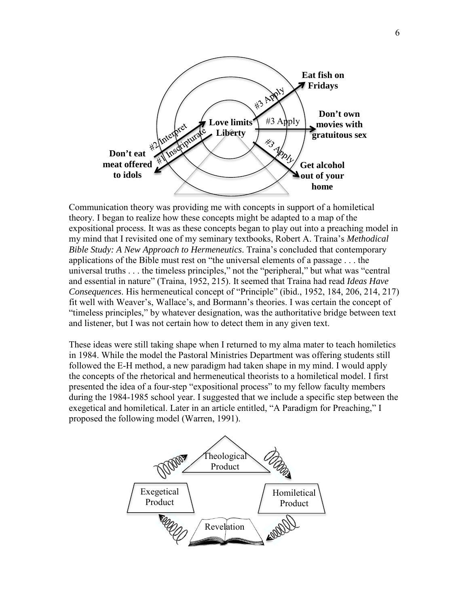

Communication theory was providing me with concepts in support of a homiletical theory. I began to realize how these concepts might be adapted to a map of the expositional process. It was as these concepts began to play out into a preaching model in my mind that I revisited one of my seminary textbooks, Robert A. Traina's *Methodical Bible Study: A New Approach to Hermeneutics*. Traina's concluded that contemporary applications of the Bible must rest on "the universal elements of a passage . . . the universal truths . . . the timeless principles," not the "peripheral," but what was "central and essential in nature" (Traina, 1952, 215). It seemed that Traina had read *Ideas Have Consequences*. His hermeneutical concept of "Principle" (ibid., 1952, 184, 206, 214, 217) fit well with Weaver's, Wallace's, and Bormann's theories. I was certain the concept of "timeless principles," by whatever designation, was the authoritative bridge between text and listener, but I was not certain how to detect them in any given text.

These ideas were still taking shape when I returned to my alma mater to teach homiletics in 1984. While the model the Pastoral Ministries Department was offering students still followed the E-H method, a new paradigm had taken shape in my mind. I would apply the concepts of the rhetorical and hermeneutical theorists to a homiletical model. I first presented the idea of a four-step "expositional process" to my fellow faculty members during the 1984-1985 school year. I suggested that we include a specific step between the exegetical and homiletical. Later in an article entitled, "A Paradigm for Preaching," I proposed the following model (Warren, 1991).

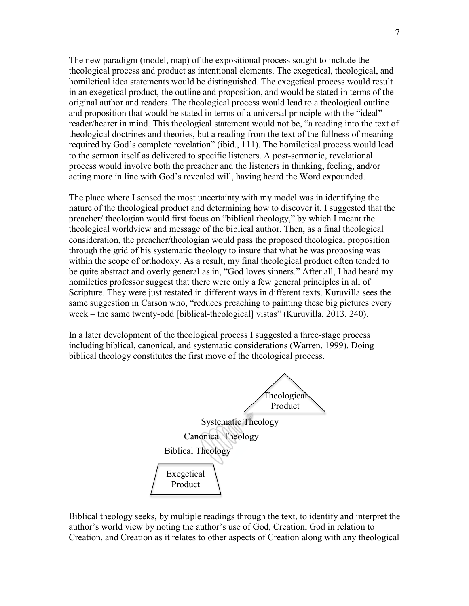The new paradigm (model, map) of the expositional process sought to include the theological process and product as intentional elements. The exegetical, theological, and homiletical idea statements would be distinguished. The exegetical process would result in an exegetical product, the outline and proposition, and would be stated in terms of the original author and readers. The theological process would lead to a theological outline and proposition that would be stated in terms of a universal principle with the "ideal" reader/hearer in mind. This theological statement would not be, "a reading into the text of theological doctrines and theories, but a reading from the text of the fullness of meaning required by God's complete revelation" (ibid., 111). The homiletical process would lead to the sermon itself as delivered to specific listeners. A post-sermonic, revelational process would involve both the preacher and the listeners in thinking, feeling, and/or acting more in line with God's revealed will, having heard the Word expounded.

The place where I sensed the most uncertainty with my model was in identifying the nature of the theological product and determining how to discover it. I suggested that the preacher/ theologian would first focus on "biblical theology," by which I meant the theological worldview and message of the biblical author. Then, as a final theological consideration, the preacher/theologian would pass the proposed theological proposition through the grid of his systematic theology to insure that what he was proposing was within the scope of orthodoxy. As a result, my final theological product often tended to be quite abstract and overly general as in, "God loves sinners." After all, I had heard my homiletics professor suggest that there were only a few general principles in all of Scripture. They were just restated in different ways in different texts. Kuruvilla sees the same suggestion in Carson who, "reduces preaching to painting these big pictures every week – the same twenty-odd [biblical-theological] vistas" (Kuruvilla, 2013, 240).

In a later development of the theological process I suggested a three-stage process including biblical, canonical, and systematic considerations (Warren, 1999). Doing biblical theology constitutes the first move of the theological process.

Biblical Theology Theological Product Canonical Theology Systematic Theology

Biblical theology seeks, by multiple readings through the text, to identify and interpret the author's world view by noting the author's use of God, Creation, God in relation to Creation, and Creation as it relates to other aspects of Creation along with any theological

Exegetical Product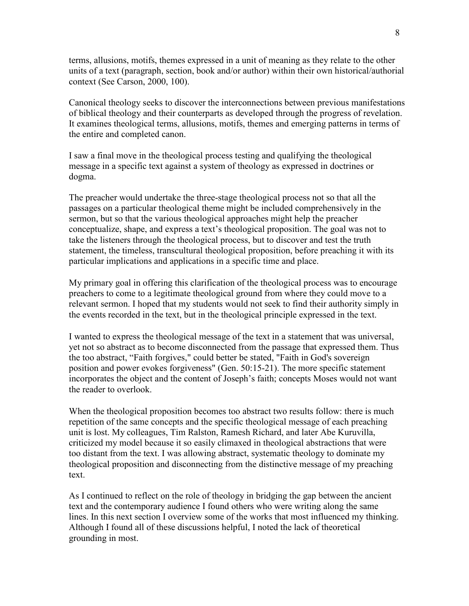terms, allusions, motifs, themes expressed in a unit of meaning as they relate to the other units of a text (paragraph, section, book and/or author) within their own historical/authorial context (See Carson, 2000, 100).

Canonical theology seeks to discover the interconnections between previous manifestations of biblical theology and their counterparts as developed through the progress of revelation. It examines theological terms, allusions, motifs, themes and emerging patterns in terms of the entire and completed canon.

I saw a final move in the theological process testing and qualifying the theological message in a specific text against a system of theology as expressed in doctrines or dogma.

The preacher would undertake the three-stage theological process not so that all the passages on a particular theological theme might be included comprehensively in the sermon, but so that the various theological approaches might help the preacher conceptualize, shape, and express a text's theological proposition. The goal was not to take the listeners through the theological process, but to discover and test the truth statement, the timeless, transcultural theological proposition, before preaching it with its particular implications and applications in a specific time and place.

My primary goal in offering this clarification of the theological process was to encourage preachers to come to a legitimate theological ground from where they could move to a relevant sermon. I hoped that my students would not seek to find their authority simply in the events recorded in the text, but in the theological principle expressed in the text.

I wanted to express the theological message of the text in a statement that was universal, yet not so abstract as to become disconnected from the passage that expressed them. Thus the too abstract, "Faith forgives," could better be stated, "Faith in God's sovereign position and power evokes forgiveness" (Gen. 50:15-21). The more specific statement incorporates the object and the content of Joseph's faith; concepts Moses would not want the reader to overlook.

When the theological proposition becomes too abstract two results follow: there is much repetition of the same concepts and the specific theological message of each preaching unit is lost. My colleagues, Tim Ralston, Ramesh Richard, and later Abe Kuruvilla, criticized my model because it so easily climaxed in theological abstractions that were too distant from the text. I was allowing abstract, systematic theology to dominate my theological proposition and disconnecting from the distinctive message of my preaching text.

As I continued to reflect on the role of theology in bridging the gap between the ancient text and the contemporary audience I found others who were writing along the same lines. In this next section I overview some of the works that most influenced my thinking. Although I found all of these discussions helpful, I noted the lack of theoretical grounding in most.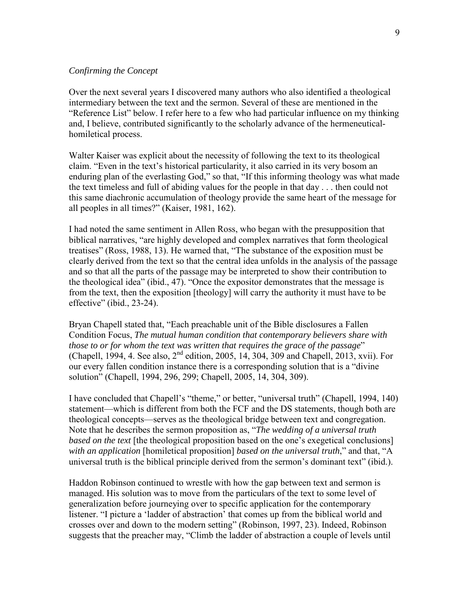## *Confirming the Concept*

Over the next several years I discovered many authors who also identified a theological intermediary between the text and the sermon. Several of these are mentioned in the "Reference List" below. I refer here to a few who had particular influence on my thinking and, I believe, contributed significantly to the scholarly advance of the hermeneuticalhomiletical process.

Walter Kaiser was explicit about the necessity of following the text to its theological claim. "Even in the text's historical particularity, it also carried in its very bosom an enduring plan of the everlasting God," so that, "If this informing theology was what made the text timeless and full of abiding values for the people in that day . . . then could not this same diachronic accumulation of theology provide the same heart of the message for all peoples in all times?" (Kaiser, 1981, 162).

I had noted the same sentiment in Allen Ross, who began with the presupposition that biblical narratives, "are highly developed and complex narratives that form theological treatises" (Ross, 1988, 13). He warned that, "The substance of the exposition must be clearly derived from the text so that the central idea unfolds in the analysis of the passage and so that all the parts of the passage may be interpreted to show their contribution to the theological idea" (ibid., 47). "Once the expositor demonstrates that the message is from the text, then the exposition [theology] will carry the authority it must have to be effective" (ibid., 23-24).

Bryan Chapell stated that, "Each preachable unit of the Bible disclosures a Fallen Condition Focus, *The mutual human condition that contemporary believers share with those to or for whom the text was written that requires the grace of the passage*" (Chapell, 1994, 4. See also,  $2^{nd}$  edition, 2005, 14, 304, 309 and Chapell, 2013, xvii). For our every fallen condition instance there is a corresponding solution that is a "divine solution" (Chapell, 1994, 296, 299; Chapell, 2005, 14, 304, 309).

I have concluded that Chapell's "theme," or better, "universal truth" (Chapell, 1994, 140) statement—which is different from both the FCF and the DS statements, though both are theological concepts—serves as the theological bridge between text and congregation. Note that he describes the sermon proposition as, "*The wedding of a universal truth based on the text* [the theological proposition based on the one's exegetical conclusions] *with an application* [homiletical proposition] *based on the universal truth*," and that, "A universal truth is the biblical principle derived from the sermon's dominant text" (ibid.).

Haddon Robinson continued to wrestle with how the gap between text and sermon is managed. His solution was to move from the particulars of the text to some level of generalization before journeying over to specific application for the contemporary listener. "I picture a 'ladder of abstraction' that comes up from the biblical world and crosses over and down to the modern setting" (Robinson, 1997, 23). Indeed, Robinson suggests that the preacher may, "Climb the ladder of abstraction a couple of levels until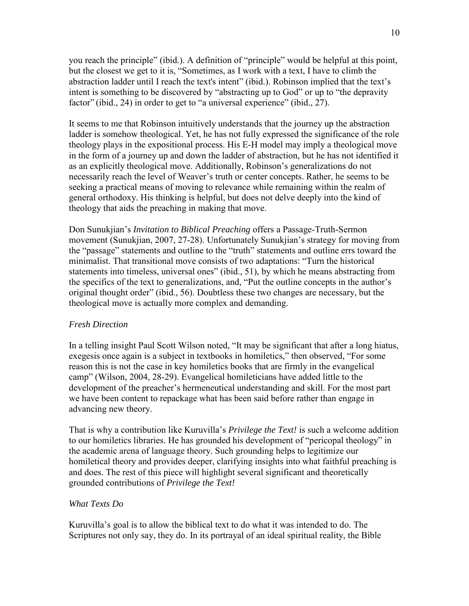you reach the principle" (ibid.). A definition of "principle" would be helpful at this point, but the closest we get to it is, "Sometimes, as I work with a text, I have to climb the abstraction ladder until I reach the text's intent" (ibid.). Robinson implied that the text's intent is something to be discovered by "abstracting up to God" or up to "the depravity factor" (ibid., 24) in order to get to "a universal experience" (ibid., 27).

It seems to me that Robinson intuitively understands that the journey up the abstraction ladder is somehow theological. Yet, he has not fully expressed the significance of the role theology plays in the expositional process. His E-H model may imply a theological move in the form of a journey up and down the ladder of abstraction, but he has not identified it as an explicitly theological move. Additionally, Robinson's generalizations do not necessarily reach the level of Weaver's truth or center concepts. Rather, he seems to be seeking a practical means of moving to relevance while remaining within the realm of general orthodoxy. His thinking is helpful, but does not delve deeply into the kind of theology that aids the preaching in making that move.

Don Sunukjian's *Invitation to Biblical Preaching* offers a Passage-Truth-Sermon movement (Sunukjian, 2007, 27-28). Unfortunately Sunukjian's strategy for moving from the "passage" statements and outline to the "truth" statements and outline errs toward the minimalist. That transitional move consists of two adaptations: "Turn the historical statements into timeless, universal ones" (ibid., 51), by which he means abstracting from the specifics of the text to generalizations, and, "Put the outline concepts in the author's original thought order" (ibid., 56). Doubtless these two changes are necessary, but the theological move is actually more complex and demanding.

# *Fresh Direction*

In a telling insight Paul Scott Wilson noted, "It may be significant that after a long hiatus, exegesis once again is a subject in textbooks in homiletics," then observed, "For some reason this is not the case in key homiletics books that are firmly in the evangelical camp" (Wilson, 2004, 28-29). Evangelical homileticians have added little to the development of the preacher's hermeneutical understanding and skill. For the most part we have been content to repackage what has been said before rather than engage in advancing new theory.

That is why a contribution like Kuruvilla's *Privilege the Text!* is such a welcome addition to our homiletics libraries. He has grounded his development of "pericopal theology" in the academic arena of language theory. Such grounding helps to legitimize our homiletical theory and provides deeper, clarifying insights into what faithful preaching is and does. The rest of this piece will highlight several significant and theoretically grounded contributions of *Privilege the Text!*

# *What Texts Do*

Kuruvilla's goal is to allow the biblical text to do what it was intended to do. The Scriptures not only say, they do. In its portrayal of an ideal spiritual reality, the Bible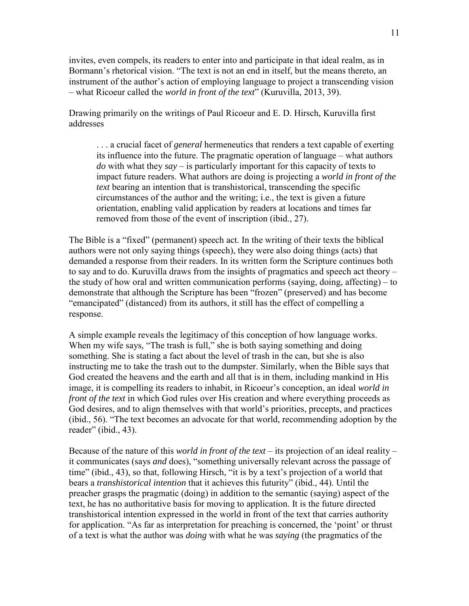invites, even compels, its readers to enter into and participate in that ideal realm, as in Bormann's rhetorical vision. "The text is not an end in itself, but the means thereto, an instrument of the author's action of employing language to project a transcending vision – what Ricoeur called the *world in front of the text*" (Kuruvilla, 2013, 39).

Drawing primarily on the writings of Paul Ricoeur and E. D. Hirsch, Kuruvilla first addresses

. . . a crucial facet of *general* hermeneutics that renders a text capable of exerting its influence into the future. The pragmatic operation of language – what authors *do* with what they *say* – is particularly important for this capacity of texts to impact future readers. What authors are doing is projecting a *world in front of the text* bearing an intention that is transhistorical, transcending the specific circumstances of the author and the writing; i.e., the text is given a future orientation, enabling valid application by readers at locations and times far removed from those of the event of inscription (ibid., 27).

The Bible is a "fixed" (permanent) speech act. In the writing of their texts the biblical authors were not only saying things (speech), they were also doing things (acts) that demanded a response from their readers. In its written form the Scripture continues both to say and to do. Kuruvilla draws from the insights of pragmatics and speech act theory – the study of how oral and written communication performs (saying, doing, affecting) – to demonstrate that although the Scripture has been "frozen" (preserved) and has become "emancipated" (distanced) from its authors, it still has the effect of compelling a response.

A simple example reveals the legitimacy of this conception of how language works. When my wife says, "The trash is full," she is both saying something and doing something. She is stating a fact about the level of trash in the can, but she is also instructing me to take the trash out to the dumpster. Similarly, when the Bible says that God created the heavens and the earth and all that is in them, including mankind in His image, it is compelling its readers to inhabit, in Ricoeur's conception, an ideal *world in front of the text* in which God rules over His creation and where everything proceeds as God desires, and to align themselves with that world's priorities, precepts, and practices (ibid., 56). "The text becomes an advocate for that world, recommending adoption by the reader" (ibid., 43).

Because of the nature of this *world in front of the text* – its projection of an ideal reality – it communicates (says *and* does), "something universally relevant across the passage of time" (ibid., 43), so that, following Hirsch, "it is by a text's projection of a world that bears a *transhistorical intention* that it achieves this futurity" (ibid., 44). Until the preacher grasps the pragmatic (doing) in addition to the semantic (saying) aspect of the text, he has no authoritative basis for moving to application. It is the future directed transhistorical intention expressed in the world in front of the text that carries authority for application. "As far as interpretation for preaching is concerned, the 'point' or thrust of a text is what the author was *doing* with what he was *saying* (the pragmatics of the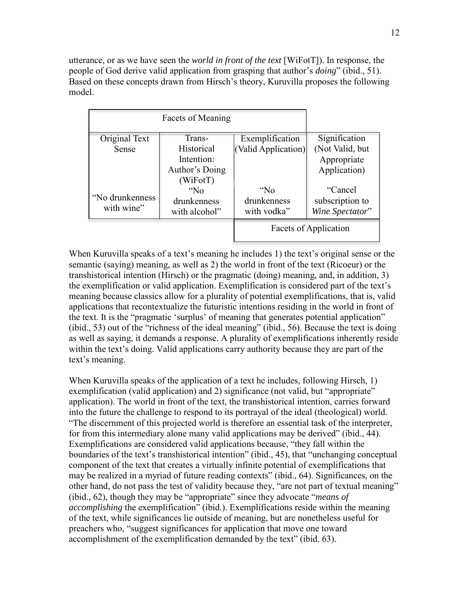utterance, or as we have seen the *world in front of the text* [WiFotT]). In response, the people of God derive valid application from grasping that author's *doing*" (ibid., 51). Based on these concepts drawn from Hirsch's theory, Kuruvilla proposes the following model.

| <b>Facets of Meaning</b> |                |                       |                 |
|--------------------------|----------------|-----------------------|-----------------|
| Original Text            | Trans-         | Exemplification       | Signification   |
| Sense                    | Historical     | (Valid Application)   | (Not Valid, but |
|                          | Intention:     |                       | Appropriate     |
|                          | Author's Doing |                       | Application)    |
|                          | (WiFort)       |                       |                 |
|                          | $N_0$          | "No                   | "Cancel"        |
| "No drunkenness"         | drunkenness    | drunkenness           | subscription to |
| with wine"               | with alcohol"  | with vodka"           | Wine Spectator" |
|                          |                | Facets of Application |                 |

When Kuruvilla speaks of a text's meaning he includes 1) the text's original sense or the semantic (saying) meaning, as well as 2) the world in front of the text (Ricoeur) or the transhistorical intention (Hirsch) or the pragmatic (doing) meaning, and, in addition, 3) the exemplification or valid application. Exemplification is considered part of the text's meaning because classics allow for a plurality of potential exemplifications, that is, valid applications that recontextualize the futuristic intentions residing in the world in front of the text. It is the "pragmatic 'surplus' of meaning that generates potential application" (ibid., 53) out of the "richness of the ideal meaning" (ibid., 56). Because the text is doing as well as saying, it demands a response. A plurality of exemplifications inherently reside within the text's doing. Valid applications carry authority because they are part of the text's meaning.

When Kuruvilla speaks of the application of a text he includes, following Hirsch, 1) exemplification (valid application) and 2) significance (not valid, but "appropriate" application). The world in front of the text, the transhistorical intention, carries forward into the future the challenge to respond to its portrayal of the ideal (theological) world. "The discernment of this projected world is therefore an essential task of the interpreter, for from this intermediary alone many valid applications may be derived" (ibid., 44). Exemplifications are considered valid applications because, "they fall within the boundaries of the text's transhistorical intention" (ibid., 45), that "unchanging conceptual component of the text that creates a virtually infinite potential of exemplifications that may be realized in a myriad of future reading contexts" (ibid., 64). Significances, on the other hand, do not pass the test of validity because they, "are not part of textual meaning" (ibid., 62), though they may be "appropriate" since they advocate "*means of accomplishing* the exemplification" (ibid.). Exemplifications reside within the meaning of the text, while significances lie outside of meaning, but are nonetheless useful for preachers who, "suggest significances for application that move one toward accomplishment of the exemplification demanded by the text" (ibid. 63).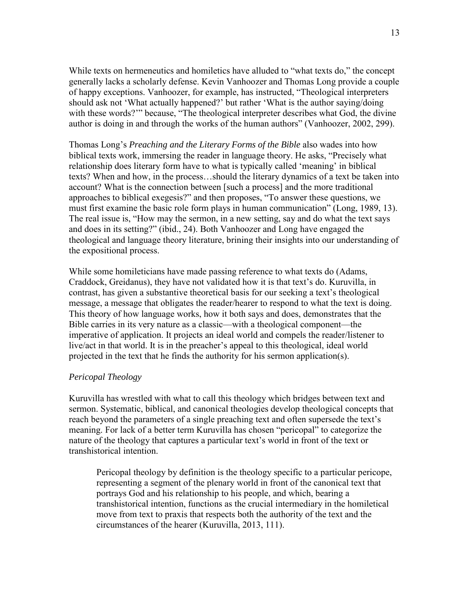While texts on hermeneutics and homiletics have alluded to "what texts do," the concept generally lacks a scholarly defense. Kevin Vanhoozer and Thomas Long provide a couple of happy exceptions. Vanhoozer, for example, has instructed, "Theological interpreters should ask not 'What actually happened?' but rather 'What is the author saying/doing with these words?'" because, "The theological interpreter describes what God, the divine author is doing in and through the works of the human authors" (Vanhoozer, 2002, 299).

Thomas Long's *Preaching and the Literary Forms of the Bible* also wades into how biblical texts work, immersing the reader in language theory. He asks, "Precisely what relationship does literary form have to what is typically called 'meaning' in biblical texts? When and how, in the process…should the literary dynamics of a text be taken into account? What is the connection between [such a process] and the more traditional approaches to biblical exegesis?" and then proposes, "To answer these questions, we must first examine the basic role form plays in human communication" (Long, 1989, 13). The real issue is, "How may the sermon, in a new setting, say and do what the text says and does in its setting?" (ibid., 24). Both Vanhoozer and Long have engaged the theological and language theory literature, brining their insights into our understanding of the expositional process.

While some homileticians have made passing reference to what texts do (Adams, Craddock, Greidanus), they have not validated how it is that text's do. Kuruvilla, in contrast, has given a substantive theoretical basis for our seeking a text's theological message, a message that obligates the reader/hearer to respond to what the text is doing. This theory of how language works, how it both says and does, demonstrates that the Bible carries in its very nature as a classic—with a theological component—the imperative of application. It projects an ideal world and compels the reader/listener to live/act in that world. It is in the preacher's appeal to this theological, ideal world projected in the text that he finds the authority for his sermon application(s).

### *Pericopal Theology*

Kuruvilla has wrestled with what to call this theology which bridges between text and sermon. Systematic, biblical, and canonical theologies develop theological concepts that reach beyond the parameters of a single preaching text and often supersede the text's meaning. For lack of a better term Kuruvilla has chosen "pericopal" to categorize the nature of the theology that captures a particular text's world in front of the text or transhistorical intention.

Pericopal theology by definition is the theology specific to a particular pericope, representing a segment of the plenary world in front of the canonical text that portrays God and his relationship to his people, and which, bearing a transhistorical intention, functions as the crucial intermediary in the homiletical move from text to praxis that respects both the authority of the text and the circumstances of the hearer (Kuruvilla, 2013, 111).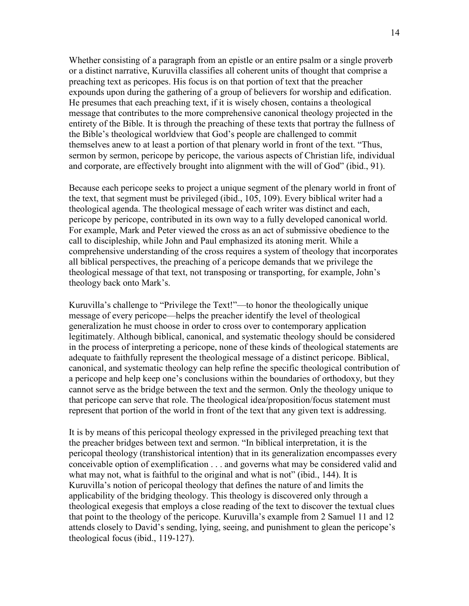Whether consisting of a paragraph from an epistle or an entire psalm or a single proverb or a distinct narrative, Kuruvilla classifies all coherent units of thought that comprise a preaching text as pericopes. His focus is on that portion of text that the preacher expounds upon during the gathering of a group of believers for worship and edification. He presumes that each preaching text, if it is wisely chosen, contains a theological message that contributes to the more comprehensive canonical theology projected in the entirety of the Bible. It is through the preaching of these texts that portray the fullness of the Bible's theological worldview that God's people are challenged to commit themselves anew to at least a portion of that plenary world in front of the text. "Thus, sermon by sermon, pericope by pericope, the various aspects of Christian life, individual and corporate, are effectively brought into alignment with the will of God" (ibid., 91).

Because each pericope seeks to project a unique segment of the plenary world in front of the text, that segment must be privileged (ibid., 105, 109). Every biblical writer had a theological agenda. The theological message of each writer was distinct and each, pericope by pericope, contributed in its own way to a fully developed canonical world. For example, Mark and Peter viewed the cross as an act of submissive obedience to the call to discipleship, while John and Paul emphasized its atoning merit. While a comprehensive understanding of the cross requires a system of theology that incorporates all biblical perspectives, the preaching of a pericope demands that we privilege the theological message of that text, not transposing or transporting, for example, John's theology back onto Mark's.

Kuruvilla's challenge to "Privilege the Text!"—to honor the theologically unique message of every pericope—helps the preacher identify the level of theological generalization he must choose in order to cross over to contemporary application legitimately. Although biblical, canonical, and systematic theology should be considered in the process of interpreting a pericope, none of these kinds of theological statements are adequate to faithfully represent the theological message of a distinct pericope. Biblical, canonical, and systematic theology can help refine the specific theological contribution of a pericope and help keep one's conclusions within the boundaries of orthodoxy, but they cannot serve as the bridge between the text and the sermon. Only the theology unique to that pericope can serve that role. The theological idea/proposition/focus statement must represent that portion of the world in front of the text that any given text is addressing.

It is by means of this pericopal theology expressed in the privileged preaching text that the preacher bridges between text and sermon. "In biblical interpretation, it is the pericopal theology (transhistorical intention) that in its generalization encompasses every conceivable option of exemplification . . . and governs what may be considered valid and what may not, what is faithful to the original and what is not" (ibid., 144). It is Kuruvilla's notion of pericopal theology that defines the nature of and limits the applicability of the bridging theology. This theology is discovered only through a theological exegesis that employs a close reading of the text to discover the textual clues that point to the theology of the pericope. Kuruvilla's example from 2 Samuel 11 and 12 attends closely to David's sending, lying, seeing, and punishment to glean the pericope's theological focus (ibid., 119-127).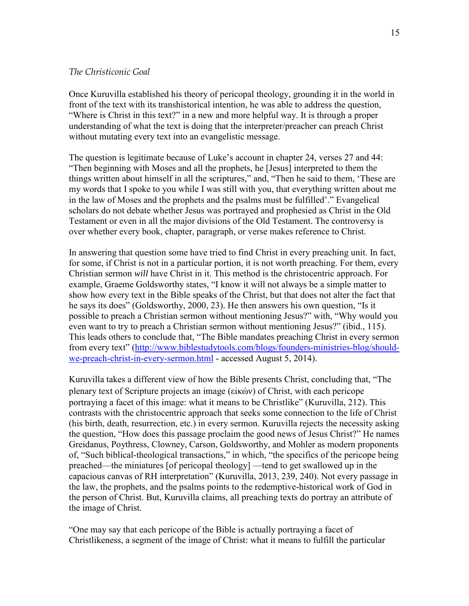### *The Christiconic Goal*

Once Kuruvilla established his theory of pericopal theology, grounding it in the world in front of the text with its transhistorical intention, he was able to address the question, "Where is Christ in this text?" in a new and more helpful way. It is through a proper understanding of what the text is doing that the interpreter/preacher can preach Christ without mutating every text into an evangelistic message.

The question is legitimate because of Luke's account in chapter 24, verses 27 and 44: "Then beginning with Moses and all the prophets, he [Jesus] interpreted to them the things written about himself in all the scriptures," and, "Then he said to them, 'These are my words that I spoke to you while I was still with you, that everything written about me in the law of Moses and the prophets and the psalms must be fulfilled'." Evangelical scholars do not debate whether Jesus was portrayed and prophesied as Christ in the Old Testament or even in all the major divisions of the Old Testament. The controversy is over whether every book, chapter, paragraph, or verse makes reference to Christ.

In answering that question some have tried to find Christ in every preaching unit. In fact, for some, if Christ is not in a particular portion, it is not worth preaching. For them, every Christian sermon *will* have Christ in it. This method is the christocentric approach. For example, Graeme Goldsworthy states, "I know it will not always be a simple matter to show how every text in the Bible speaks of the Christ, but that does not alter the fact that he says its does" (Goldsworthy, 2000, 23). He then answers his own question, "Is it possible to preach a Christian sermon without mentioning Jesus?" with, "Why would you even want to try to preach a Christian sermon without mentioning Jesus?" (ibid., 115). This leads others to conclude that, "The Bible mandates preaching Christ in every sermon from every text" [\(http://www.biblestudytools.com/blogs/founders-ministries-blog/should](http://www.biblestudytools.com/blogs/founders-ministries-blog/should-we-preach-christ-in-every-sermon.html)[we-preach-christ-in-every-sermon.html](http://www.biblestudytools.com/blogs/founders-ministries-blog/should-we-preach-christ-in-every-sermon.html) - accessed August 5, 2014).

Kuruvilla takes a different view of how the Bible presents Christ, concluding that, "The plenary text of Scripture projects an image (εἰκών) of Christ, with each pericope portraying a facet of this image: what it means to be Christlike" (Kuruvilla, 212). This contrasts with the christocentric approach that seeks some connection to the life of Christ (his birth, death, resurrection, etc.) in every sermon. Kuruvilla rejects the necessity asking the question, "How does this passage proclaim the good news of Jesus Christ?" He names Greidanus, Poythress, Clowney, Carson, Goldsworthy, and Mohler as modern proponents of, "Such biblical-theological transactions," in which, "the specifics of the pericope being preached—the miniatures [of pericopal theology] —tend to get swallowed up in the capacious canvas of RH interpretation" (Kuruvilla, 2013, 239, 240). Not every passage in the law, the prophets, and the psalms points to the redemptive-historical work of God in the person of Christ. But, Kuruvilla claims, all preaching texts do portray an attribute of the image of Christ.

"One may say that each pericope of the Bible is actually portraying a facet of Christlikeness, a segment of the image of Christ: what it means to fulfill the particular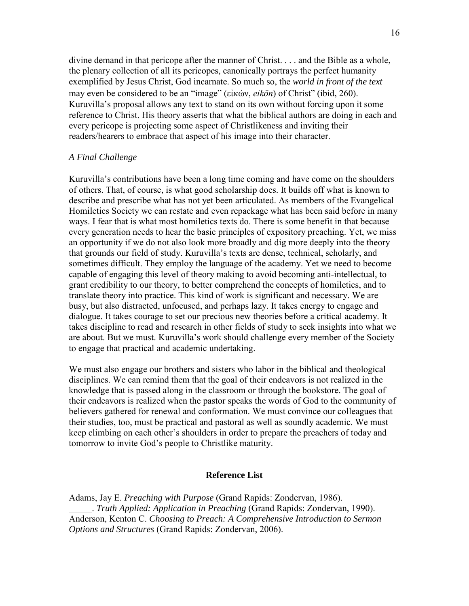divine demand in that pericope after the manner of Christ. . . . and the Bible as a whole, the plenary collection of all its pericopes, canonically portrays the perfect humanity exemplified by Jesus Christ, God incarnate. So much so, the *world in front of the text*  may even be considered to be an "image" (εἰκών, *eikōn*) of Christ" (ibid, 260). Kuruvilla's proposal allows any text to stand on its own without forcing upon it some reference to Christ. His theory asserts that what the biblical authors are doing in each and every pericope is projecting some aspect of Christlikeness and inviting their readers/hearers to embrace that aspect of his image into their character.

#### *A Final Challenge*

Kuruvilla's contributions have been a long time coming and have come on the shoulders of others. That, of course, is what good scholarship does. It builds off what is known to describe and prescribe what has not yet been articulated. As members of the Evangelical Homiletics Society we can restate and even repackage what has been said before in many ways. I fear that is what most homiletics texts do. There is some benefit in that because every generation needs to hear the basic principles of expository preaching. Yet, we miss an opportunity if we do not also look more broadly and dig more deeply into the theory that grounds our field of study. Kuruvilla's texts are dense, technical, scholarly, and sometimes difficult. They employ the language of the academy. Yet we need to become capable of engaging this level of theory making to avoid becoming anti-intellectual, to grant credibility to our theory, to better comprehend the concepts of homiletics, and to translate theory into practice. This kind of work is significant and necessary. We are busy, but also distracted, unfocused, and perhaps lazy. It takes energy to engage and dialogue. It takes courage to set our precious new theories before a critical academy. It takes discipline to read and research in other fields of study to seek insights into what we are about. But we must. Kuruvilla's work should challenge every member of the Society to engage that practical and academic undertaking.

We must also engage our brothers and sisters who labor in the biblical and theological disciplines. We can remind them that the goal of their endeavors is not realized in the knowledge that is passed along in the classroom or through the bookstore. The goal of their endeavors is realized when the pastor speaks the words of God to the community of believers gathered for renewal and conformation. We must convince our colleagues that their studies, too, must be practical and pastoral as well as soundly academic. We must keep climbing on each other's shoulders in order to prepare the preachers of today and tomorrow to invite God's people to Christlike maturity.

#### **Reference List**

Adams, Jay E. *Preaching with Purpose* (Grand Rapids: Zondervan, 1986). \_\_\_\_\_. *Truth Applied: Application in Preaching* (Grand Rapids: Zondervan, 1990). Anderson, Kenton C. *Choosing to Preach: A Comprehensive Introduction to Sermon Options and Structures* (Grand Rapids: Zondervan, 2006).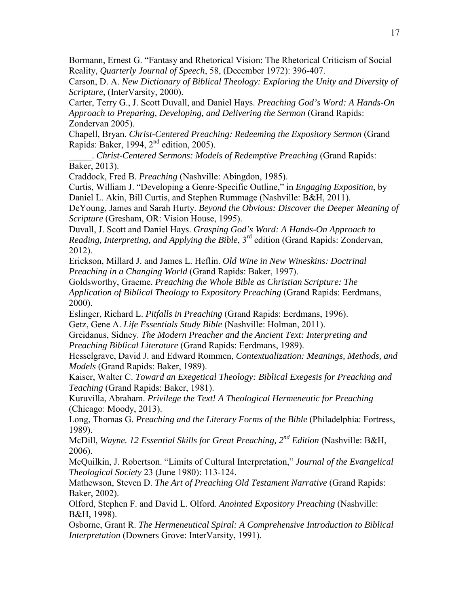Bormann, Ernest G. "Fantasy and Rhetorical Vision: The Rhetorical Criticism of Social Reality, *Quarterly Journal of Speech*, 58, (December 1972): 396-407.

Carson, D. A. *New Dictionary of Biblical Theology: Exploring the Unity and Diversity of Scripture*, (InterVarsity, 2000).

Carter, Terry G., J. Scott Duvall, and Daniel Hays. *Preaching God's Word: A Hands-On Approach to Preparing, Developing, and Delivering the Sermon* (Grand Rapids: Zondervan 2005).

Chapell, Bryan. *Christ-Centered Preaching: Redeeming the Expository Sermon* (Grand Rapids: Baker, 1994, 2nd edition, 2005).

\_\_\_\_\_. *Christ-Centered Sermons: Models of Redemptive Preaching* (Grand Rapids: Baker, 2013).

Craddock, Fred B. *Preaching* (Nashville: Abingdon, 1985).

Curtis, William J. "Developing a Genre-Specific Outline," in *Engaging Exposition*, by Daniel L. Akin, Bill Curtis, and Stephen Rummage (Nashville: B&H, 2011).

DeYoung, James and Sarah Hurty. *Beyond the Obvious: Discover the Deeper Meaning of Scripture* (Gresham, OR: Vision House, 1995).

Duvall, J. Scott and Daniel Hays. *Grasping God's Word: A Hands-On Approach to Reading, Interpreting, and Applying the Bible*, 3rd edition (Grand Rapids: Zondervan, 2012).

Erickson, Millard J. and James L. Heflin. *Old Wine in New Wineskins: Doctrinal Preaching in a Changing World* (Grand Rapids: Baker, 1997).

Goldsworthy, Graeme. *Preaching the Whole Bible as Christian Scripture: The Application of Biblical Theology to Expository Preaching* (Grand Rapids: Eerdmans, 2000).

Eslinger, Richard L. *Pitfalls in Preaching* (Grand Rapids: Eerdmans, 1996). Getz, Gene A. *Life Essentials Study Bible* (Nashville: Holman, 2011).

Greidanus, Sidney. *The Modern Preacher and the Ancient Text: Interpreting and Preaching Biblical Literature* (Grand Rapids: Eerdmans, 1989).

Hesselgrave, David J. and Edward Rommen, *Contextualization: Meanings, Methods, and Models* (Grand Rapids: Baker, 1989).

Kaiser, Walter C. *Toward an Exegetical Theology: Biblical Exegesis for Preaching and Teaching* (Grand Rapids: Baker, 1981).

Kuruvilla, Abraham. *Privilege the Text! A Theological Hermeneutic for Preaching*  (Chicago: Moody, 2013).

Long, Thomas G. *Preaching and the Literary Forms of the Bible* (Philadelphia: Fortress, 1989).

McDill, *Wayne. 12 Essential Skills for Great Preaching, 2nd Edition* (Nashville: B&H, 2006).

McQuilkin, J. Robertson. "Limits of Cultural Interpretation," *Journal of the Evangelical Theological Society* 23 (June 1980): 113-124.

Mathewson, Steven D. *The Art of Preaching Old Testament Narrative* (Grand Rapids: Baker, 2002).

Olford, Stephen F. and David L. Olford. *Anointed Expository Preaching* (Nashville: B&H, 1998).

Osborne, Grant R. *The Hermeneutical Spiral: A Comprehensive Introduction to Biblical Interpretation* (Downers Grove: InterVarsity, 1991).